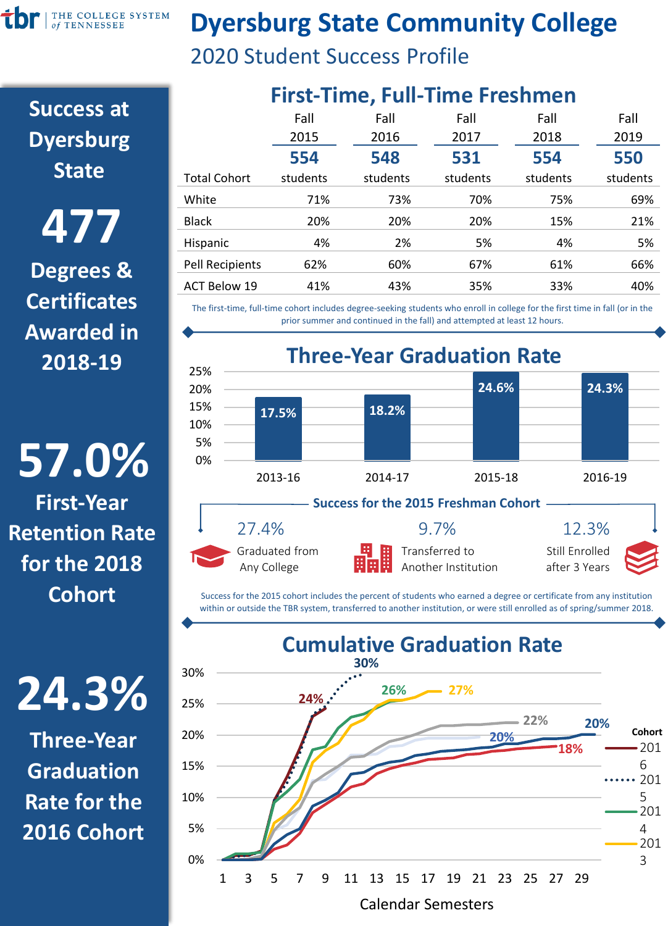THE COLLEGE SYSTEM Ťb of TENNESSEE

### **Dyersburg State Community College**

2020 Student Success Profile

**Success at Dyersburg State**

**Degrees & Certificates Awarded in 2018-19 477**

**57.0% First-Year Retention Rate for the 2018 Cohort**

## **24.3%**

**Three-Year Graduation Rate for the 2016 Cohort**

| <b>First-Time, Full-Time Freshmen</b> |          |          |          |          |          |
|---------------------------------------|----------|----------|----------|----------|----------|
|                                       | Fall     | Fall     | Fall     | Fall     | Fall     |
|                                       | 2015     | 2016     | 2017     | 2018     | 2019     |
|                                       | 554      | 548      | 531      | 554      | 550      |
| <b>Total Cohort</b>                   | students | students | students | students | students |
| White                                 | 71%      | 73%      | 70%      | 75%      | 69%      |
| <b>Black</b>                          | 20%      | 20%      | 20%      | 15%      | 21%      |
| Hispanic                              | 4%       | 2%       | 5%       | 4%       | 5%       |
| <b>Pell Recipients</b>                | 62%      | 60%      | 67%      | 61%      | 66%      |
| <b>ACT Below 19</b>                   | 41%      | 43%      | 35%      | 33%      | 40%      |
|                                       |          |          |          |          |          |

The first-time, full-time cohort includes degree-seeking students who enroll in college for the first time in fall (or in the prior summer and continued in the fall) and attempted at least 12 hours.



Success for the 2015 cohort includes the percent of students who earned a degree or certificate from any institution within or outside the TBR system, transferred to another institution, or were still enrolled as of spring/summer 2018.